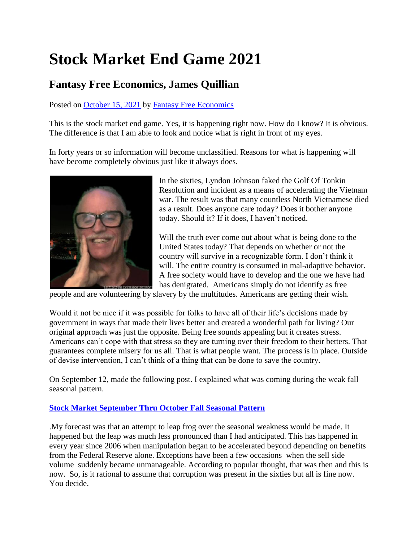## **Stock Market End Game 2021**

## **Fantasy Free Economics, James Quillian**

Posted on [October 15, 2021](http://quillian.net/blog/?p=7693) by [Fantasy Free Economics](http://quillian.net/blog/author/james-quillian/)

This is the stock market end game. Yes, it is happening right now. How do I know? It is obvious. The difference is that I am able to look and notice what is right in front of my eyes.

In forty years or so information will become unclassified. Reasons for what is happening will have become completely obvious just like it always does.



In the sixties, Lyndon Johnson faked the Golf Of Tonkin Resolution and incident as a means of accelerating the Vietnam war. The result was that many countless North Vietnamese died as a result. Does anyone care today? Does it bother anyone today. Should it? If it does, I haven't noticed.

Will the truth ever come out about what is being done to the United States today? That depends on whether or not the country will survive in a recognizable form. I don't think it will. The entire country is consumed in mal-adaptive behavior. A free society would have to develop and the one we have had has denigrated. Americans simply do not identify as free

people and are volunteering by slavery by the multitudes. Americans are getting their wish.

Would it not be nice if it was possible for folks to have all of their life's decisions made by government in ways that made their lives better and created a wonderful path for living? Our original approach was just the opposite. Being free sounds appealing but it creates stress. Americans can't cope with that stress so they are turning over their freedom to their betters. That guarantees complete misery for us all. That is what people want. The process is in place. Outside of devise intervention, I can't think of a thing that can be done to save the country.

On September 12, made the following post. I explained what was coming during the weak fall seasonal pattern.

## **[Stock Market September Thru October Fall Seasonal Pattern](http://quillian.net/blog/stock-market-october-through-october-fall-seasonal-pattern/)**

.My forecast was that an attempt to leap frog over the seasonal weakness would be made. It happened but the leap was much less pronounced than I had anticipated. This has happened in every year since 2006 when manipulation began to be accelerated beyond depending on benefits from the Federal Reserve alone. Exceptions have been a few occasions when the sell side volume suddenly became unmanageable. According to popular thought, that was then and this is now. So, is it rational to assume that corruption was present in the sixties but all is fine now. You decide.